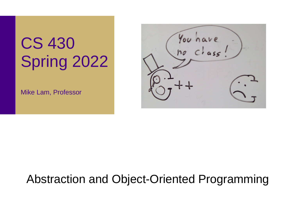# CS 430 Spring 2022

Mike Lam, Professor

You have<br>no class!

#### Abstraction and Object-Oriented Programming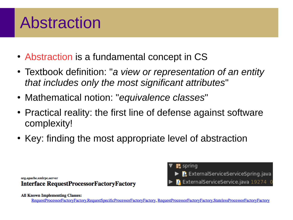### Abstraction

- Abstraction is a fundamental concept in CS
- Textbook definition: "*a view or representation of an entity that includes only the most significant attributes*"
- Mathematical notion: "*equivalence classes*"
- Practical reality: the first line of defense against software complexity!
- Key: finding the most appropriate level of abstraction



15 spring **D.** ExternalServiceServiceSpring.java ExternalServiceService.java 19274

**All Known Implementing Classes:** 

RequestProcessorFactoryFactory.RequestSpecificProcessorFactoryFactory.RequestProcessorFactoryFactory.StatelessProcessorFactoryFactory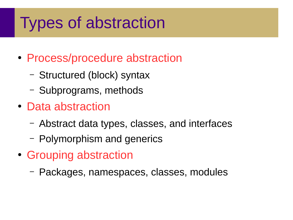# Types of abstraction

- Process/procedure abstraction
	- Structured (block) syntax
	- Subprograms, methods
- Data abstraction
	- Abstract data types, classes, and interfaces
	- Polymorphism and generics
- Grouping abstraction
	- Packages, namespaces, classes, modules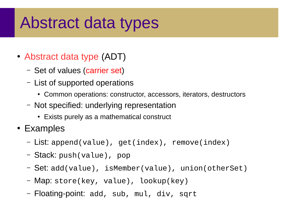#### Abstract data types

- Abstract data type (ADT)
	- Set of values (carrier set)
	- List of supported operations
		- Common operations: constructor, accessors, iterators, destructors
	- Not specified: underlying representation
		- Exists purely as a mathematical construct
- Examples
	- List: append(value), get(index), remove(index)
	- Stack: push(value), pop
	- Set: add(value), isMember(value), union(otherSet)
	- Map: store(key, value), lookup(key)
	- Floating-point: add, sub, mul, div, sqrt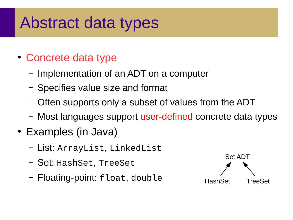#### Abstract data types

- Concrete data type
	- Implementation of an ADT on a computer
	- Specifies value size and format
	- Often supports only a subset of values from the ADT
	- Most languages support user-defined concrete data types
- Examples (in Java)
	- List: ArrayList, LinkedList
	- Set: HashSet, TreeSet
	- Floating-point: float, double

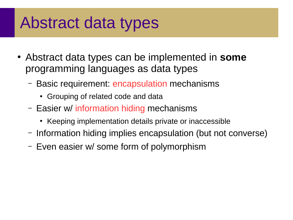### Abstract data types

- Abstract data types can be implemented in **some** programming languages as data types
	- Basic requirement: encapsulation mechanisms
		- Grouping of related code and data
	- Easier w/ information hiding mechanisms
		- Keeping implementation details private or inaccessible
	- Information hiding implies encapsulation (but not converse)
	- Even easier w/ some form of polymorphism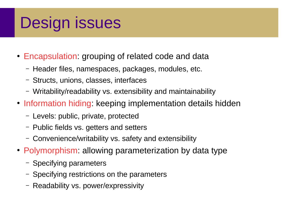# Design issues

- Encapsulation: grouping of related code and data
	- Header files, namespaces, packages, modules, etc.
	- Structs, unions, classes, interfaces
	- Writability/readability vs. extensibility and maintainability
- Information hiding: keeping implementation details hidden
	- Levels: public, private, protected
	- Public fields vs. getters and setters
	- Convenience/writability vs. safety and extensibility
- Polymorphism: allowing parameterization by data type
	- Specifying parameters
	- Specifying restrictions on the parameters
	- Readability vs. power/expressivity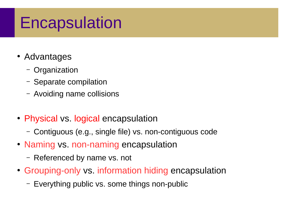#### Encapsulation

- Advantages
	- Organization
	- Separate compilation
	- Avoiding name collisions
- Physical vs. logical encapsulation
	- Contiguous (e.g., single file) vs. non-contiguous code
- Naming vs. non-naming encapsulation
	- Referenced by name vs. not
- Grouping-only vs. information hiding encapsulation
	- Everything public vs. some things non-public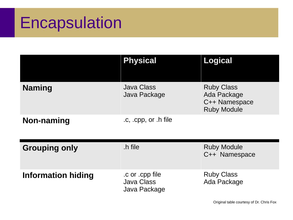#### Encapsulation

|               | <b>Physical</b>                   | Logical                                                                 |
|---------------|-----------------------------------|-------------------------------------------------------------------------|
| <b>Naming</b> | <b>Java Class</b><br>Java Package | <b>Ruby Class</b><br>Ada Package<br>C++ Namespace<br><b>Ruby Module</b> |
| Non-naming    | .c, .cpp, or .h file              |                                                                         |

| <b>Grouping only</b>      | .h file                                       | <b>Ruby Module</b><br>C++ Namespace |
|---------------------------|-----------------------------------------------|-------------------------------------|
| <b>Information hiding</b> | .c or .cpp file<br>Java Class<br>Java Package | <b>Ruby Class</b><br>Ada Package    |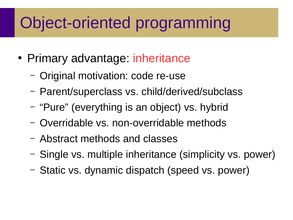## Object-oriented programming

- Primary advantage: inheritance
	- Original motivation: code re-use
	- Parent/superclass vs. child/derived/subclass
	- "Pure" (everything is an object) vs. hybrid
	- Overridable vs. non-overridable methods
	- Abstract methods and classes
	- Single vs. multiple inheritance (simplicity vs. power)
	- Static vs. dynamic dispatch (speed vs. power)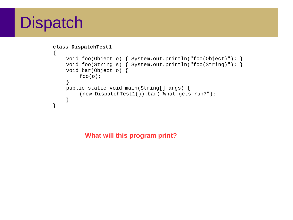

```
class DispatchTest1
{
    void foo(Object o) { System.out.println("foo(Object)"); }
    void foo(String s) { System.out.println("foo(String)"); }
    void bar(Object o) {
        foo(0);
    }
    public static void main(String[] args) {
        (new DispatchTest1()).bar("What gets run?");
    }
}
```
**What will this program print?**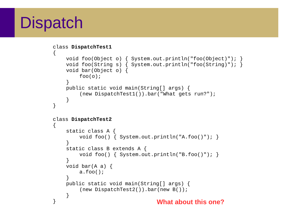

```
class DispatchTest1
\{void foo(Object o) { System.out.println("foo(Object)"); }
    void foo(String s) { System.out.println("foo(String)"); }
    void bar(Object o) {
        foo(o);
    }
    public static void main(String[] args) {
        (new DispatchTest1()).bar("What gets run?");
    }
}
class DispatchTest2
{
    static class A {
        void foo() { System.out.println("A.foo()"); }
    }
    static class B extends A {
        void foo() { System.out.println("B.foo()"); }
    }
    void bar(A a) {
        a.foo();
    }
    public static void main(String[] args) {
        (new DispatchTest2()).bar(new B());
    }
} What about this one?
```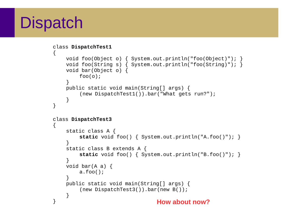

```
class DispatchTest1
\{void foo(Object o) { System.out.println("foo(Object)"); }
    void foo(String s) { System.out.println("foo(String)"); }
    void bar(Object o) {
        foo(o);
    }
    public static void main(String[] args) {
        (new DispatchTest1()).bar("What gets run?");
    }
}
class DispatchTest3
{
    static class A {
        static void foo() { System.out.println("A.foo()"); }
    }
    static class B extends A {
        static void foo() { System.out.println("B.foo()"); }
    }
    void bar(A a) {
        a.foo();
    }
    public static void main(String[] args) {
        (new DispatchTest3()).bar(new B());
    }
} How about now?
```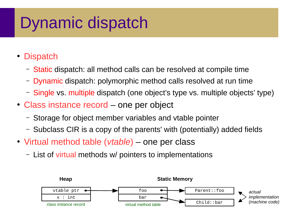# Dynamic dispatch

- Dispatch
	- Static dispatch: all method calls can be resolved at compile time
	- Dynamic dispatch: polymorphic method calls resolved at run time
	- Single vs. multiple dispatch (one object's type vs. multiple objects' type)
- Class instance record one per object
	- Storage for object member variables and vtable pointer
	- Subclass CIR is a copy of the parents' with (potentially) added fields
- Virtual method table (*vtable*) one per class
	- List of virtual methods w/ pointers to implementations

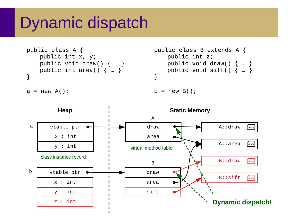#### Dynamic dispatch

```
public class A {
    public int x, y;
    public void draw() { … }
    public int area() \{ \ldots \}}
```

```
a = new A();
```

```
public class B extends A {
   public int z;
   public void draw() \{ ... }
   public void sift() { … }
}
```
 $b = new B()$ ;

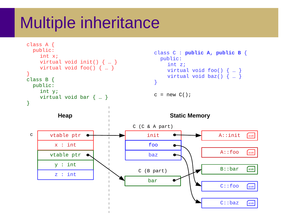# Multiple inheritance

```
class A {
   public:
    int x;
    virtual void init() \{ ... }
    virtual void foo() { … }
}
class B {
   public:
    int y;
    virtual void bar { … }
}
```

```
class C : public A, public B {
  public:
    int z;
    virtual void foo() { … }
    virtual void baz() { … }
}
```
 $c = new C()$ ;

**Heap Reap Reading Exercise 2 and Static Memory** 

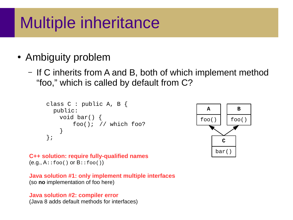# Multiple inheritance

- Ambiguity problem
	- If C inherits from A and B, both of which implement method "foo," which is called by default from C?

```
class C : public A, B {
   public:
   void bar() {
        foo(); // which foo?
    }
};
```


**C++ solution: require fully-qualified names** (e.g., A::foo() or B::foo())

**Java solution #1: only implement multiple interfaces** (so **no** implementation of foo here)

**Java solution #2: compiler error** (Java 8 adds default methods for interfaces)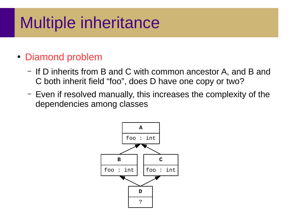# Multiple inheritance

- Diamond problem
	- If D inherits from B and C with common ancestor A, and B and C both inherit field "foo", does D have one copy or two?
	- Even if resolved manually, this increases the complexity of the dependencies among classes

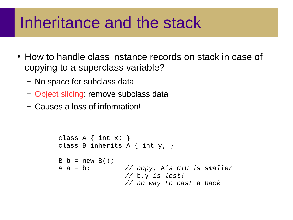#### Inheritance and the stack

- How to handle class instance records on stack in case of copying to a superclass variable?
	- No space for subclass data
	- Object slicing: remove subclass data
	- Causes a loss of information!

```
class A \{ int x; \}class B inherits A \{ int y; \}B b = new B();
A a = b; // copy; A's CIR is smaller
                // b.y is lost!
                // no way to cast a back
```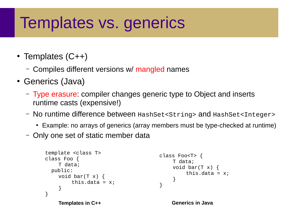#### Templates vs. generics

- Templates  $(C++)$ 
	- Compiles different versions w/ mangled names
- Generics (Java)
	- Type erasure: compiler changes generic type to Object and inserts runtime casts (expensive!)
	- No runtime difference between HashSet<String> and HashSet<Integer>
		- Example: no arrays of generics (array members must be type-checked at runtime)
	- Only one set of static member data

```
class Foo<T> {
                                       T data;
                                       void bar(T x) {
                                            this.data = x;
                                        }
                                    }
template <class T>
class Foo {
    T data;
  public:
    void bar(T x) {
        this.data = x;
    }
}
    Templates in C++ Generics in Java
```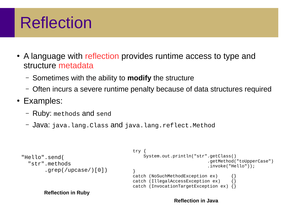## Reflection

- A language with reflection provides runtime access to type and structure metadata
	- Sometimes with the ability to **modify** the structure
	- Often incurs a severe runtime penalty because of data structures required
- Examples:
	- Ruby: methods and send
	- Java: java.lang.Class and java.lang.reflect.Method

```
try {
                                              System.out.println("str".getClass()
                                                                      .getMethod("toUpperCase")
                                                                     .invoke("Hello"));
                                         }
                                         catch (NoSuchMethodException ex) {}
                                         catch (IllegalAccessException ex) {}
                                         catch (InvocationTargetException ex) {}
"Hello".send(
   "str".methods
         .grep(/upcase/)[0])
        Reflection in Ruby
```
**Reflection in Java**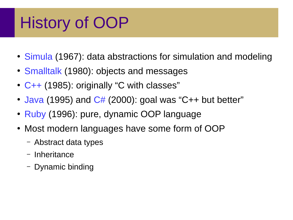# History of OOP

- Simula (1967): data abstractions for simulation and modeling
- Smalltalk (1980): objects and messages
- $C++$  (1985): originally "C with classes"
- Java (1995) and  $C#$  (2000): goal was "C++ but better"
- Ruby (1996): pure, dynamic OOP language
- Most modern languages have some form of OOP
	- Abstract data types
	- Inheritance
	- Dynamic binding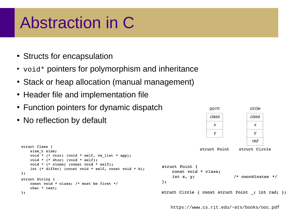# Abstraction in C

- Structs for encapsulation
- void\* pointers for polymorphism and inheritance
- Stack or heap allocation (manual management)
- Header file and implementation file
- Function pointers for dynamic dispatch
- No reflection by default

```
struct Class {
    size t size:
    void * (* ctor) (void * self, va list * app);
    void * (* dtor) (void * self);
    void * (* clone) (const void * self);
    int (* differ) (const void * self, const void * b);
\} ;
struct String {
    const void * class; /* must be first */
    char * text;
\} ;
```


https://www.cs.rit.edu/~ats/books/ooc.pdf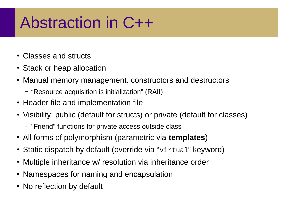# Abstraction in C++

- Classes and structs
- Stack or heap allocation
- Manual memory management: constructors and destructors
	- "Resource acquisition is initialization" (RAII)
- Header file and implementation file
- Visibility: public (default for structs) or private (default for classes)
	- "Friend" functions for private access outside class
- All forms of polymorphism (parametric via **templates**)
- Static dispatch by default (override via "virtual" keyword)
- Multiple inheritance w/ resolution via inheritance order
- Namespaces for naming and encapsulation
- No reflection by default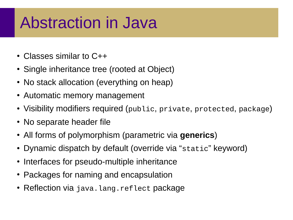# Abstraction in Java

- $\cdot$  Classes similar to C++
- Single inheritance tree (rooted at Object)
- No stack allocation (everything on heap)
- Automatic memory management
- Visibility modifiers required (public, private, protected, package)
- No separate header file
- All forms of polymorphism (parametric via **generics**)
- Dynamic dispatch by default (override via "static" keyword)
- Interfaces for pseudo-multiple inheritance
- Packages for naming and encapsulation
- Reflection via java. lang. reflect package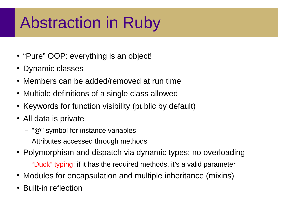# Abstraction in Ruby

- "Pure" OOP: everything is an object!
- Dynamic classes
- Members can be added/removed at run time
- Multiple definitions of a single class allowed
- Keywords for function visibility (public by default)
- All data is private
	- "@" symbol for instance variables
	- Attributes accessed through methods
- Polymorphism and dispatch via dynamic types; no overloading
	- "Duck" typing: if it has the required methods, it's a valid parameter
- Modules for encapsulation and multiple inheritance (mixins)
- Built-in reflection